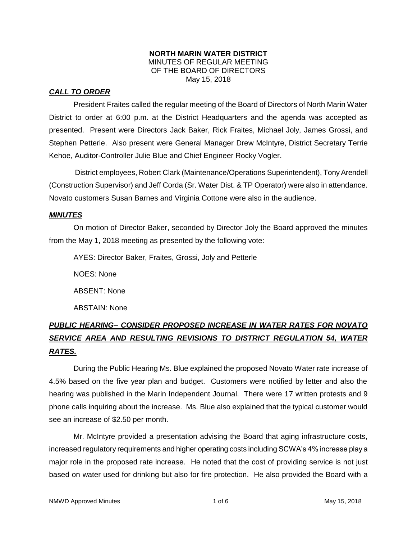#### **NORTH MARIN WATER DISTRICT** MINUTES OF REGULAR MEETING OF THE BOARD OF DIRECTORS May 15, 2018

# *CALL TO ORDER*

President Fraites called the regular meeting of the Board of Directors of North Marin Water District to order at 6:00 p.m. at the District Headquarters and the agenda was accepted as presented. Present were Directors Jack Baker, Rick Fraites, Michael Joly, James Grossi, and Stephen Petterle. Also present were General Manager Drew McIntyre, District Secretary Terrie Kehoe, Auditor-Controller Julie Blue and Chief Engineer Rocky Vogler.

District employees, Robert Clark (Maintenance/Operations Superintendent), Tony Arendell (Construction Supervisor) and Jeff Corda (Sr. Water Dist. & TP Operator) were also in attendance. Novato customers Susan Barnes and Virginia Cottone were also in the audience.

## *MINUTES*

On motion of Director Baker, seconded by Director Joly the Board approved the minutes from the May 1, 2018 meeting as presented by the following vote:

AYES: Director Baker, Fraites, Grossi, Joly and Petterle

NOES: None

ABSENT: None

ABSTAIN: None

# *PUBLIC HEARING*– *CONSIDER PROPOSED INCREASE IN WATER RATES FOR NOVATO SERVICE AREA AND RESULTING REVISIONS TO DISTRICT REGULATION 54, WATER RATES.*

During the Public Hearing Ms. Blue explained the proposed Novato Water rate increase of 4.5% based on the five year plan and budget. Customers were notified by letter and also the hearing was published in the Marin Independent Journal. There were 17 written protests and 9 phone calls inquiring about the increase. Ms. Blue also explained that the typical customer would see an increase of \$2.50 per month.

Mr. McIntyre provided a presentation advising the Board that aging infrastructure costs, increased regulatory requirements and higher operating costs including SCWA's 4% increase play a major role in the proposed rate increase. He noted that the cost of providing service is not just based on water used for drinking but also for fire protection. He also provided the Board with a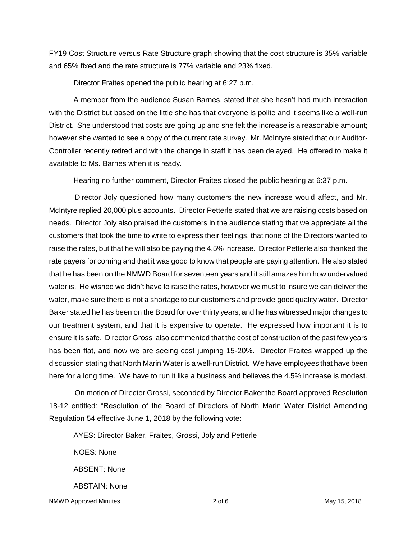FY19 Cost Structure versus Rate Structure graph showing that the cost structure is 35% variable and 65% fixed and the rate structure is 77% variable and 23% fixed.

Director Fraites opened the public hearing at 6:27 p.m.

A member from the audience Susan Barnes, stated that she hasn't had much interaction with the District but based on the little she has that everyone is polite and it seems like a well-run District. She understood that costs are going up and she felt the increase is a reasonable amount; however she wanted to see a copy of the current rate survey. Mr. McIntyre stated that our Auditor-Controller recently retired and with the change in staff it has been delayed. He offered to make it available to Ms. Barnes when it is ready.

Hearing no further comment, Director Fraites closed the public hearing at 6:37 p.m.

Director Joly questioned how many customers the new increase would affect, and Mr. McIntyre replied 20,000 plus accounts. Director Petterle stated that we are raising costs based on needs. Director Joly also praised the customers in the audience stating that we appreciate all the customers that took the time to write to express their feelings, that none of the Directors wanted to raise the rates, but that he will also be paying the 4.5% increase. Director Petterle also thanked the rate payers for coming and that it was good to know that people are paying attention. He also stated that he has been on the NMWD Board for seventeen years and it still amazes him how undervalued water is. He wished we didn't have to raise the rates, however we must to insure we can deliver the water, make sure there is not a shortage to our customers and provide good quality water. Director Baker stated he has been on the Board for over thirty years, and he has witnessed major changes to our treatment system, and that it is expensive to operate. He expressed how important it is to ensure it is safe. Director Grossi also commented that the cost of construction of the past few years has been flat, and now we are seeing cost jumping 15-20%. Director Fraites wrapped up the discussion stating that North Marin Water is a well-run District. We have employees that have been here for a long time. We have to run it like a business and believes the 4.5% increase is modest.

On motion of Director Grossi, seconded by Director Baker the Board approved Resolution 18-12 entitled: "Resolution of the Board of Directors of North Marin Water District Amending Regulation 54 effective June 1, 2018 by the following vote:

AYES: Director Baker, Fraites, Grossi, Joly and Petterle

NOES: None ABSENT: None ABSTAIN: None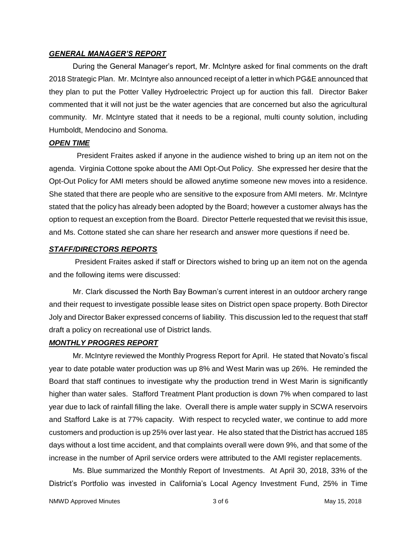#### *GENERAL MANAGER'S REPORT*

During the General Manager's report, Mr. McIntyre asked for final comments on the draft 2018 Strategic Plan. Mr. McIntyre also announced receipt of a letter in which PG&E announced that they plan to put the Potter Valley Hydroelectric Project up for auction this fall. Director Baker commented that it will not just be the water agencies that are concerned but also the agricultural community. Mr. McIntyre stated that it needs to be a regional, multi county solution, including Humboldt, Mendocino and Sonoma.

#### *OPEN TIME*

President Fraites asked if anyone in the audience wished to bring up an item not on the agenda. Virginia Cottone spoke about the AMI Opt-Out Policy. She expressed her desire that the Opt-Out Policy for AMI meters should be allowed anytime someone new moves into a residence. She stated that there are people who are sensitive to the exposure from AMI meters. Mr. McIntyre stated that the policy has already been adopted by the Board; however a customer always has the option to request an exception from the Board. Director Petterle requested that we revisit this issue, and Ms. Cottone stated she can share her research and answer more questions if need be.

#### *STAFF/DIRECTORS REPORTS*

President Fraites asked if staff or Directors wished to bring up an item not on the agenda and the following items were discussed:

Mr. Clark discussed the North Bay Bowman's current interest in an outdoor archery range and their request to investigate possible lease sites on District open space property. Both Director Joly and Director Baker expressed concerns of liability. This discussion led to the request that staff draft a policy on recreational use of District lands.

#### *MONTHLY PROGRES REPORT*

Mr. McIntyre reviewed the Monthly Progress Report for April. He stated that Novato's fiscal year to date potable water production was up 8% and West Marin was up 26%. He reminded the Board that staff continues to investigate why the production trend in West Marin is significantly higher than water sales. Stafford Treatment Plant production is down 7% when compared to last year due to lack of rainfall filling the lake. Overall there is ample water supply in SCWA reservoirs and Stafford Lake is at 77% capacity. With respect to recycled water, we continue to add more customers and production is up 25% over last year. He also stated that the District has accrued 185 days without a lost time accident, and that complaints overall were down 9%, and that some of the increase in the number of April service orders were attributed to the AMI register replacements.

Ms. Blue summarized the Monthly Report of Investments. At April 30, 2018, 33% of the District's Portfolio was invested in California's Local Agency Investment Fund, 25% in Time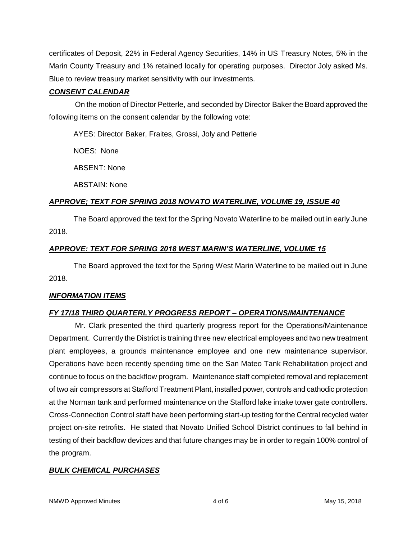certificates of Deposit, 22% in Federal Agency Securities, 14% in US Treasury Notes, 5% in the Marin County Treasury and 1% retained locally for operating purposes. Director Joly asked Ms. Blue to review treasury market sensitivity with our investments.

# *CONSENT CALENDAR*

On the motion of Director Petterle, and seconded by Director Baker the Board approved the following items on the consent calendar by the following vote:

AYES: Director Baker, Fraites, Grossi, Joly and Petterle

NOES: None

ABSENT: None

ABSTAIN: None

## *APPROVE; TEXT FOR SPRING 2018 NOVATO WATERLINE, VOLUME 19, ISSUE 40*

The Board approved the text for the Spring Novato Waterline to be mailed out in early June 2018.

## *APPROVE: TEXT FOR SPRING 2018 WEST MARIN'S WATERLINE, VOLUME 15*

The Board approved the text for the Spring West Marin Waterline to be mailed out in June 2018.

# *INFORMATION ITEMS*

# *FY 17/18 THIRD QUARTERLY PROGRESS REPORT – OPERATIONS/MAINTENANCE*

Mr. Clark presented the third quarterly progress report for the Operations/Maintenance Department. Currently the District is training three new electrical employees and two new treatment plant employees, a grounds maintenance employee and one new maintenance supervisor. Operations have been recently spending time on the San Mateo Tank Rehabilitation project and continue to focus on the backflow program. Maintenance staff completed removal and replacement of two air compressors at Stafford Treatment Plant, installed power, controls and cathodic protection at the Norman tank and performed maintenance on the Stafford lake intake tower gate controllers. Cross-Connection Control staff have been performing start-up testing for the Central recycled water project on-site retrofits. He stated that Novato Unified School District continues to fall behind in testing of their backflow devices and that future changes may be in order to regain 100% control of the program.

# *BULK CHEMICAL PURCHASES*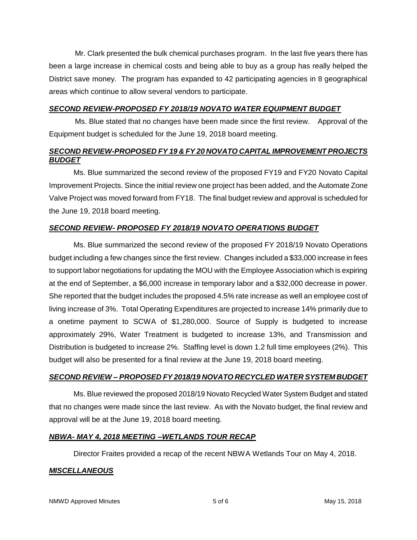Mr. Clark presented the bulk chemical purchases program. In the last five years there has been a large increase in chemical costs and being able to buy as a group has really helped the District save money. The program has expanded to 42 participating agencies in 8 geographical areas which continue to allow several vendors to participate.

# *SECOND REVIEW-PROPOSED FY 2018/19 NOVATO WATER EQUIPMENT BUDGET*

Ms. Blue stated that no changes have been made since the first review. Approval of the Equipment budget is scheduled for the June 19, 2018 board meeting.

# *SECOND REVIEW-PROPOSED FY 19 & FY 20 NOVATO CAPITAL IMPROVEMENT PROJECTS BUDGET*

Ms. Blue summarized the second review of the proposed FY19 and FY20 Novato Capital Improvement Projects. Since the initial review one project has been added, and the Automate Zone Valve Project was moved forward from FY18. The final budget review and approval is scheduled for the June 19, 2018 board meeting.

# *SECOND REVIEW- PROPOSED FY 2018/19 NOVATO OPERATIONS BUDGET*

Ms. Blue summarized the second review of the proposed FY 2018/19 Novato Operations budget including a few changes since the first review. Changes included a \$33,000 increase in fees to support labor negotiations for updating the MOU with the Employee Association which is expiring at the end of September, a \$6,000 increase in temporary labor and a \$32,000 decrease in power. She reported that the budget includes the proposed 4.5% rate increase as well an employee cost of living increase of 3%. Total Operating Expenditures are projected to increase 14% primarily due to a onetime payment to SCWA of \$1,280,000. Source of Supply is budgeted to increase approximately 29%, Water Treatment is budgeted to increase 13%, and Transmission and Distribution is budgeted to increase 2%. Staffing level is down 1.2 full time employees (2%). This budget will also be presented for a final review at the June 19, 2018 board meeting.

# *SECOND REVIEW – PROPOSED FY 2018/19 NOVATO RECYCLED WATER SYSTEM BUDGET*

Ms. Blue reviewed the proposed 2018/19 Novato Recycled Water System Budget and stated that no changes were made since the last review. As with the Novato budget, the final review and approval will be at the June 19, 2018 board meeting.

## *NBWA- MAY 4, 2018 MEETING –WETLANDS TOUR RECAP*

Director Fraites provided a recap of the recent NBWA Wetlands Tour on May 4, 2018.

## *MISCELLANEOUS*